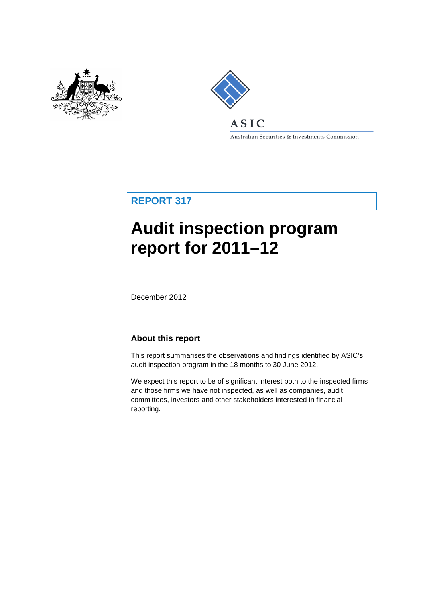



Australian Securities & Investments Commission

**REPORT 317**

# **Audit inspection program report for 2011–12**

December 2012

## **About this report**

This report summarises the observations and findings identified by ASIC's audit inspection program in the 18 months to 30 June 2012.

We expect this report to be of significant interest both to the inspected firms and those firms we have not inspected, as well as companies, audit committees, investors and other stakeholders interested in financial reporting.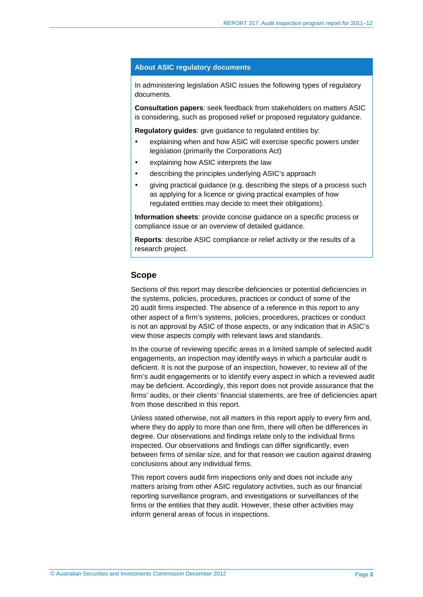#### **About ASIC regulatory documents**

In administering legislation ASIC issues the following types of regulatory documents.

**Consultation papers**: seek feedback from stakeholders on matters ASIC is considering, such as proposed relief or proposed regulatory guidance.

**Regulatory guides**: give guidance to regulated entities by:

- explaining when and how ASIC will exercise specific powers under legislation (primarily the Corporations Act)
- explaining how ASIC interprets the law
- describing the principles underlying ASIC's approach
- giving practical guidance (e.g. describing the steps of a process such as applying for a licence or giving practical examples of how regulated entities may decide to meet their obligations).

**Information sheets**: provide concise guidance on a specific process or compliance issue or an overview of detailed guidance.

**Reports**: describe ASIC compliance or relief activity or the results of a research project.

#### **Scope**

Sections of this report may describe deficiencies or potential deficiencies in the systems, policies, procedures, practices or conduct of some of the 20 audit firms inspected. The absence of a reference in this report to any other aspect of a firm's systems, policies, procedures, practices or conduct is not an approval by ASIC of those aspects, or any indication that in ASIC's view those aspects comply with relevant laws and standards.

In the course of reviewing specific areas in a limited sample of selected audit engagements, an inspection may identify ways in which a particular audit is deficient. It is not the purpose of an inspection, however, to review all of the firm's audit engagements or to identify every aspect in which a reviewed audit may be deficient. Accordingly, this report does not provide assurance that the firms' audits, or their clients' financial statements, are free of deficiencies apart from those described in this report.

Unless stated otherwise, not all matters in this report apply to every firm and, where they do apply to more than one firm, there will often be differences in degree. Our observations and findings relate only to the individual firms inspected. Our observations and findings can differ significantly, even between firms of similar size, and for that reason we caution against drawing conclusions about any individual firms.

This report covers audit firm inspections only and does not include any matters arising from other ASIC regulatory activities, such as our financial reporting surveillance program, and investigations or surveillances of the firms or the entities that they audit. However, these other activities may inform general areas of focus in inspections.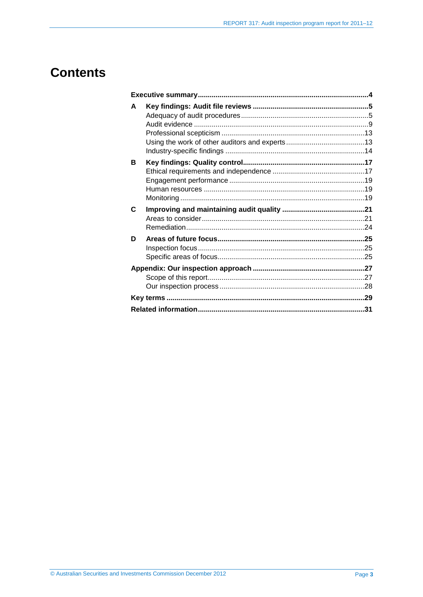## **Contents**

| A |  |
|---|--|
| в |  |
| C |  |
| D |  |
|   |  |
|   |  |
|   |  |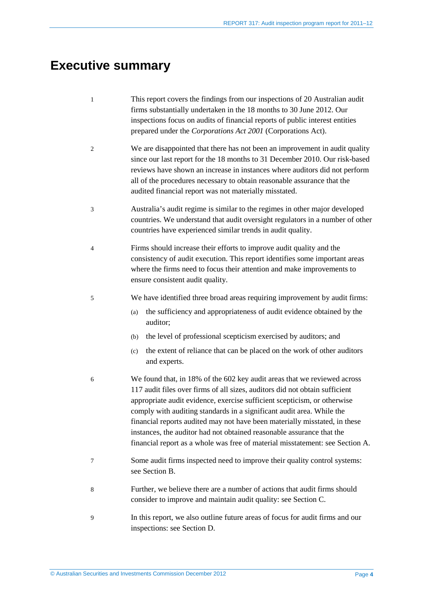## <span id="page-3-0"></span>**Executive summary**

- 1 This report covers the findings from our inspections of 20 Australian audit firms substantially undertaken in the 18 months to 30 June 2012. Our inspections focus on audits of financial reports of public interest entities prepared under the *Corporations Act 2001* (Corporations Act).
- 2 We are disappointed that there has not been an improvement in audit quality since our last report for the 18 months to 31 December 2010. Our risk-based reviews have shown an increase in instances where auditors did not perform all of the procedures necessary to obtain reasonable assurance that the audited financial report was not materially misstated.
- 3 Australia's audit regime is similar to the regimes in other major developed countries. We understand that audit oversight regulators in a number of other countries have experienced similar trends in audit quality.
- 4 Firms should increase their efforts to improve audit quality and the consistency of audit execution. This report identifies some important areas where the firms need to focus their attention and make improvements to ensure consistent audit quality.
- 5 We have identified three broad areas requiring improvement by audit firms:
	- (a) the sufficiency and appropriateness of audit evidence obtained by the auditor;
	- (b) the level of professional scepticism exercised by auditors; and
	- (c) the extent of reliance that can be placed on the work of other auditors and experts.
- 6 We found that, in 18% of the 602 key audit areas that we reviewed across 117 audit files over firms of all sizes, auditors did not obtain sufficient appropriate audit evidence, exercise sufficient scepticism, or otherwise comply with auditing standards in a significant audit area. While the financial reports audited may not have been materially misstated, in these instances, the auditor had not obtained reasonable assurance that the financial report as a whole was free of material misstatement: see Section [A.](#page-4-0)
- 7 Some audit firms inspected need to improve their quality control systems: see Section [B.](#page-16-0)
- 8 Further, we believe there are a number of actions that audit firms should consider to improve and maintain audit quality: see Section [C.](#page-20-0)
- 9 In this report, we also outline future areas of focus for audit firms and our inspections: see Section [D.](#page-24-0)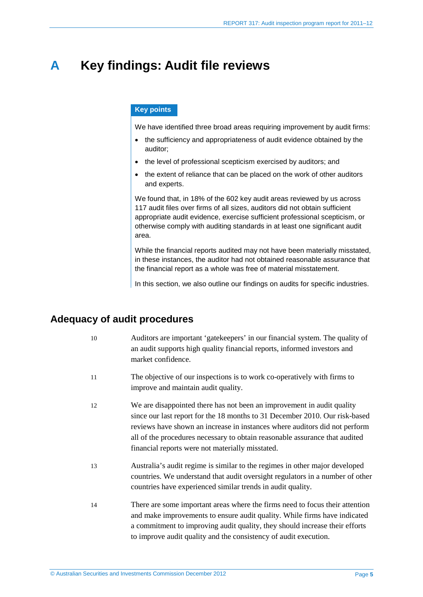## <span id="page-4-0"></span>**A Key findings: Audit file reviews**

#### **Key points**

We have identified three broad areas requiring improvement by audit firms:

- the sufficiency and appropriateness of audit evidence obtained by the auditor;
- the level of professional scepticism exercised by auditors; and
- the extent of reliance that can be placed on the work of other auditors and experts.

We found that, in 18% of the 602 key audit areas reviewed by us across 117 audit files over firms of all sizes, auditors did not obtain sufficient appropriate audit evidence, exercise sufficient professional scepticism, or otherwise comply with auditing standards in at least one significant audit area.

While the financial reports audited may not have been materially misstated, in these instances, the auditor had not obtained reasonable assurance that the financial report as a whole was free of material misstatement.

In this section, we also outline our findings on audits for specific industries.

## <span id="page-4-1"></span>**Adequacy of audit procedures**

| 10 | Auditors are important 'gate keepers' in our financial system. The quality of |
|----|-------------------------------------------------------------------------------|
|    | an audit supports high quality financial reports, informed investors and      |
|    | market confidence.                                                            |
|    |                                                                               |

- 11 The objective of our inspections is to work co-operatively with firms to improve and maintain audit quality.
- 12 We are disappointed there has not been an improvement in audit quality since our last report for the 18 months to 31 December 2010. Our risk-based reviews have shown an increase in instances where auditors did not perform all of the procedures necessary to obtain reasonable assurance that audited financial reports were not materially misstated.
- 13 Australia's audit regime is similar to the regimes in other major developed countries. We understand that audit oversight regulators in a number of other countries have experienced similar trends in audit quality.
- 14 There are some important areas where the firms need to focus their attention and make improvements to ensure audit quality. While firms have indicated a commitment to improving audit quality, they should increase their efforts to improve audit quality and the consistency of audit execution.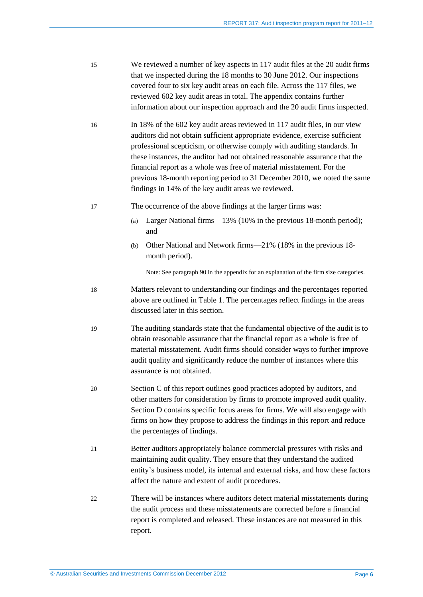- 15 We reviewed a number of key aspects in 117 audit files at the 20 audit firms that we inspected during the 18 months to 30 June 2012. Our inspections covered four to six key audit areas on each file. Across the 117 files, we reviewed 602 key audit areas in total. The appendix contains further information about our inspection approach and the 20 audit firms inspected.
- 16 In 18% of the 602 key audit areas reviewed in 117 audit files, in our view auditors did not obtain sufficient appropriate evidence, exercise sufficient professional scepticism, or otherwise comply with auditing standards. In these instances, the auditor had not obtained reasonable assurance that the financial report as a whole was free of material misstatement. For the previous 18-month reporting period to 31 December 2010, we noted the same findings in 14% of the key audit areas we reviewed.
- <span id="page-5-0"></span>17 The occurrence of the above findings at the larger firms was:
	- (a) Larger National firms—13% (10% in the previous 18-month period); and
	- (b) Other National and Network firms—21% (18% in the previous 18 month period).

Note: See paragrap[h 90](#page-26-2) in the appendix for an explanation of the firm size categories.

- 18 Matters relevant to understanding our findings and the percentages reported above are outlined in [Table 1.](#page-6-0) The percentages reflect findings in the areas discussed later in this section.
- 19 The auditing standards state that the fundamental objective of the audit is to obtain reasonable assurance that the financial report as a whole is free of material misstatement. Audit firms should consider ways to further improve audit quality and significantly reduce the number of instances where this assurance is not obtained.
- 20 Section [C](#page-20-0) of this report outlines good practices adopted by auditors, and other matters for consideration by firms to promote improved audit quality. Section [D](#page-24-0) contains specific focus areas for firms. We will also engage with firms on how they propose to address the findings in this report and reduce the percentages of findings.
- 21 Better auditors appropriately balance commercial pressures with risks and maintaining audit quality. They ensure that they understand the audited entity's business model, its internal and external risks, and how these factors affect the nature and extent of audit procedures.
- 22 There will be instances where auditors detect material misstatements during the audit process and these misstatements are corrected before a financial report is completed and released. These instances are not measured in this report.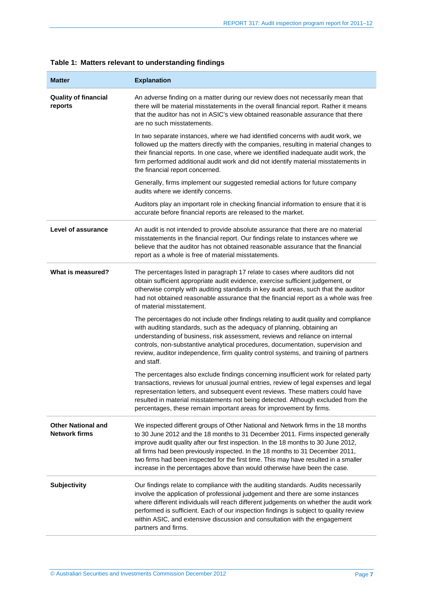| <b>Matter</b>                                     | <b>Explanation</b>                                                                                                                                                                                                                                                                                                                                                                                                                                                                                                    |  |  |
|---------------------------------------------------|-----------------------------------------------------------------------------------------------------------------------------------------------------------------------------------------------------------------------------------------------------------------------------------------------------------------------------------------------------------------------------------------------------------------------------------------------------------------------------------------------------------------------|--|--|
| <b>Quality of financial</b><br>reports            | An adverse finding on a matter during our review does not necessarily mean that<br>there will be material misstatements in the overall financial report. Rather it means<br>that the auditor has not in ASIC's view obtained reasonable assurance that there<br>are no such misstatements.                                                                                                                                                                                                                            |  |  |
|                                                   | In two separate instances, where we had identified concerns with audit work, we<br>followed up the matters directly with the companies, resulting in material changes to<br>their financial reports. In one case, where we identified inadequate audit work, the<br>firm performed additional audit work and did not identify material misstatements in<br>the financial report concerned.                                                                                                                            |  |  |
|                                                   | Generally, firms implement our suggested remedial actions for future company<br>audits where we identify concerns.                                                                                                                                                                                                                                                                                                                                                                                                    |  |  |
|                                                   | Auditors play an important role in checking financial information to ensure that it is<br>accurate before financial reports are released to the market.                                                                                                                                                                                                                                                                                                                                                               |  |  |
| Level of assurance                                | An audit is not intended to provide absolute assurance that there are no material<br>misstatements in the financial report. Our findings relate to instances where we<br>believe that the auditor has not obtained reasonable assurance that the financial<br>report as a whole is free of material misstatements.                                                                                                                                                                                                    |  |  |
| What is measured?                                 | The percentages listed in paragraph 17 relate to cases where auditors did not<br>obtain sufficient appropriate audit evidence, exercise sufficient judgement, or<br>otherwise comply with auditing standards in key audit areas, such that the auditor<br>had not obtained reasonable assurance that the financial report as a whole was free<br>of material misstatement.                                                                                                                                            |  |  |
|                                                   | The percentages do not include other findings relating to audit quality and compliance<br>with auditing standards, such as the adequacy of planning, obtaining an<br>understanding of business, risk assessment, reviews and reliance on internal<br>controls, non-substantive analytical procedures, documentation, supervision and<br>review, auditor independence, firm quality control systems, and training of partners<br>and staff.                                                                            |  |  |
|                                                   | The percentages also exclude findings concerning insufficient work for related party<br>transactions, reviews for unusual journal entries, review of legal expenses and legal<br>representation letters, and subsequent event reviews. These matters could have<br>resulted in material misstatements not being detected. Although excluded from the<br>percentages, these remain important areas for improvement by firms.                                                                                           |  |  |
| <b>Other National and</b><br><b>Network firms</b> | We inspected different groups of Other National and Network firms in the 18 months<br>to 30 June 2012 and the 18 months to 31 December 2011. Firms inspected generally<br>improve audit quality after our first inspection. In the 18 months to 30 June 2012,<br>all firms had been previously inspected. In the 18 months to 31 December 2011,<br>two firms had been inspected for the first time. This may have resulted in a smaller<br>increase in the percentages above than would otherwise have been the case. |  |  |
| <b>Subjectivity</b>                               | Our findings relate to compliance with the auditing standards. Audits necessarily<br>involve the application of professional judgement and there are some instances<br>where different individuals will reach different judgements on whether the audit work<br>performed is sufficient. Each of our inspection findings is subject to quality review<br>within ASIC, and extensive discussion and consultation with the engagement<br>partners and firms.                                                            |  |  |

<span id="page-6-0"></span>

|  |  |  | Table 1: Matters relevant to understanding findings |  |
|--|--|--|-----------------------------------------------------|--|
|--|--|--|-----------------------------------------------------|--|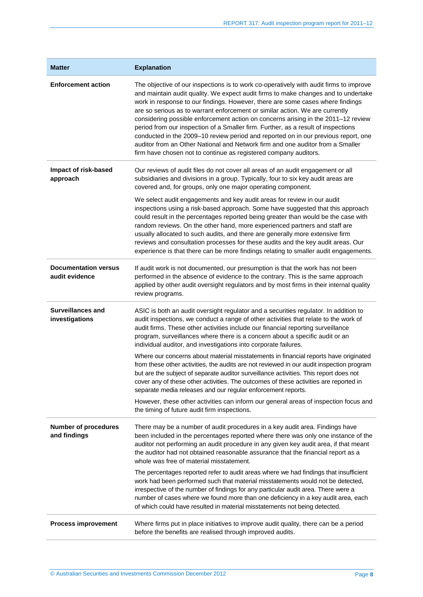| <b>Matter</b>                                 | <b>Explanation</b>                                                                                                                                                                                                                                                                                                                                                                                                                                                                                                                                                                                                                                                                                                                                                   |  |  |
|-----------------------------------------------|----------------------------------------------------------------------------------------------------------------------------------------------------------------------------------------------------------------------------------------------------------------------------------------------------------------------------------------------------------------------------------------------------------------------------------------------------------------------------------------------------------------------------------------------------------------------------------------------------------------------------------------------------------------------------------------------------------------------------------------------------------------------|--|--|
| <b>Enforcement action</b>                     | The objective of our inspections is to work co-operatively with audit firms to improve<br>and maintain audit quality. We expect audit firms to make changes and to undertake<br>work in response to our findings. However, there are some cases where findings<br>are so serious as to warrant enforcement or similar action. We are currently<br>considering possible enforcement action on concerns arising in the 2011-12 review<br>period from our inspection of a Smaller firm. Further, as a result of inspections<br>conducted in the 2009–10 review period and reported on in our previous report, one<br>auditor from an Other National and Network firm and one auditor from a Smaller<br>firm have chosen not to continue as registered company auditors. |  |  |
| Impact of risk-based<br>approach              | Our reviews of audit files do not cover all areas of an audit engagement or all<br>subsidiaries and divisions in a group. Typically, four to six key audit areas are<br>covered and, for groups, only one major operating component.                                                                                                                                                                                                                                                                                                                                                                                                                                                                                                                                 |  |  |
|                                               | We select audit engagements and key audit areas for review in our audit<br>inspections using a risk-based approach. Some have suggested that this approach<br>could result in the percentages reported being greater than would be the case with<br>random reviews. On the other hand, more experienced partners and staff are<br>usually allocated to such audits, and there are generally more extensive firm<br>reviews and consultation processes for these audits and the key audit areas. Our<br>experience is that there can be more findings relating to smaller audit engagements.                                                                                                                                                                          |  |  |
| <b>Documentation versus</b><br>audit evidence | If audit work is not documented, our presumption is that the work has not been<br>performed in the absence of evidence to the contrary. This is the same approach<br>applied by other audit oversight regulators and by most firms in their internal quality<br>review programs.                                                                                                                                                                                                                                                                                                                                                                                                                                                                                     |  |  |
| <b>Surveillances and</b><br>investigations    | ASIC is both an audit oversight regulator and a securities regulator. In addition to<br>audit inspections, we conduct a range of other activities that relate to the work of<br>audit firms. These other activities include our financial reporting surveillance<br>program, surveillances where there is a concern about a specific audit or an<br>individual auditor, and investigations into corporate failures.                                                                                                                                                                                                                                                                                                                                                  |  |  |
|                                               | Where our concerns about material misstatements in financial reports have originated<br>from these other activities, the audits are not reviewed in our audit inspection program<br>but are the subject of separate auditor surveillance activities. This report does not<br>cover any of these other activities. The outcomes of these activities are reported in<br>separate media releases and our regular enforcement reports.                                                                                                                                                                                                                                                                                                                                   |  |  |
|                                               | However, these other activities can inform our general areas of inspection focus and<br>the timing of future audit firm inspections.                                                                                                                                                                                                                                                                                                                                                                                                                                                                                                                                                                                                                                 |  |  |
| <b>Number of procedures</b><br>and findings   | There may be a number of audit procedures in a key audit area. Findings have<br>been included in the percentages reported where there was only one instance of the<br>auditor not performing an audit procedure in any given key audit area, if that meant<br>the auditor had not obtained reasonable assurance that the financial report as a<br>whole was free of material misstatement.                                                                                                                                                                                                                                                                                                                                                                           |  |  |
|                                               | The percentages reported refer to audit areas where we had findings that insufficient<br>work had been performed such that material misstatements would not be detected,<br>irrespective of the number of findings for any particular audit area. There were a<br>number of cases where we found more than one deficiency in a key audit area, each<br>of which could have resulted in material misstatements not being detected.                                                                                                                                                                                                                                                                                                                                    |  |  |
| <b>Process improvement</b>                    | Where firms put in place initiatives to improve audit quality, there can be a period<br>before the benefits are realised through improved audits.                                                                                                                                                                                                                                                                                                                                                                                                                                                                                                                                                                                                                    |  |  |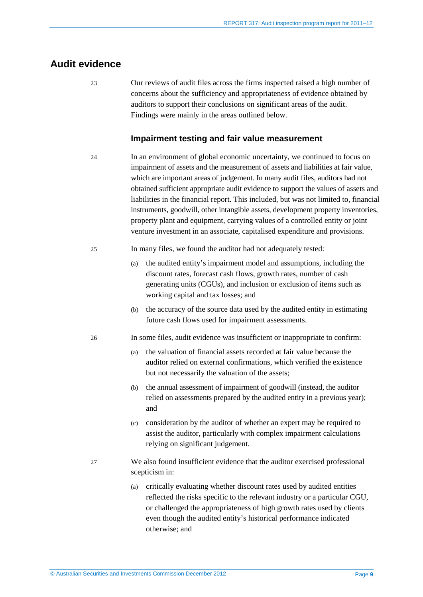## <span id="page-8-2"></span><span id="page-8-0"></span>**Audit evidence**

23 Our reviews of audit files across the firms inspected raised a high number of concerns about the sufficiency and appropriateness of evidence obtained by auditors to support their conclusions on significant areas of the audit. Findings were mainly in the areas outlined below.

#### **Impairment testing and fair value measurement**

- <span id="page-8-1"></span>24 In an environment of global economic uncertainty, we continued to focus on impairment of assets and the measurement of assets and liabilities at fair value, which are important areas of judgement. In many audit files, auditors had not obtained sufficient appropriate audit evidence to support the values of assets and liabilities in the financial report. This included, but was not limited to, financial instruments, goodwill, other intangible assets, development property inventories, property plant and equipment, carrying values of a controlled entity or joint venture investment in an associate, capitalised expenditure and provisions.
- 25 In many files, we found the auditor had not adequately tested:
	- (a) the audited entity's impairment model and assumptions, including the discount rates, forecast cash flows, growth rates, number of cash generating units (CGUs), and inclusion or exclusion of items such as working capital and tax losses; and
	- (b) the accuracy of the source data used by the audited entity in estimating future cash flows used for impairment assessments.
- 26 In some files, audit evidence was insufficient or inappropriate to confirm:
	- (a) the valuation of financial assets recorded at fair value because the auditor relied on external confirmations, which verified the existence but not necessarily the valuation of the assets;
	- (b) the annual assessment of impairment of goodwill (instead, the auditor relied on assessments prepared by the audited entity in a previous year); and
	- (c) consideration by the auditor of whether an expert may be required to assist the auditor, particularly with complex impairment calculations relying on significant judgement.
- 27 We also found insufficient evidence that the auditor exercised professional scepticism in:
	- (a) critically evaluating whether discount rates used by audited entities reflected the risks specific to the relevant industry or a particular CGU, or challenged the appropriateness of high growth rates used by clients even though the audited entity's historical performance indicated otherwise; and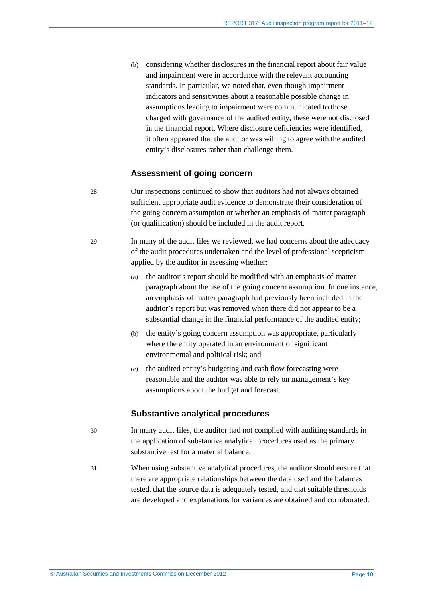(b) considering whether disclosures in the financial report about fair value and impairment were in accordance with the relevant accounting standards. In particular, we noted that, even though impairment indicators and sensitivities about a reasonable possible change in assumptions leading to impairment were communicated to those charged with governance of the audited entity, these were not disclosed in the financial report. Where disclosure deficiencies were identified, it often appeared that the auditor was willing to agree with the audited entity's disclosures rather than challenge them.

#### **Assessment of going concern**

- 28 Our inspections continued to show that auditors had not always obtained sufficient appropriate audit evidence to demonstrate their consideration of the going concern assumption or whether an emphasis-of-matter paragraph (or qualification) should be included in the audit report.
- <span id="page-9-0"></span>29 In many of the audit files we reviewed, we had concerns about the adequacy of the audit procedures undertaken and the level of professional scepticism applied by the auditor in assessing whether:
	- (a) the auditor's report should be modified with an emphasis-of-matter paragraph about the use of the going concern assumption. In one instance, an emphasis-of-matter paragraph had previously been included in the auditor's report but was removed when there did not appear to be a substantial change in the financial performance of the audited entity;
	- (b) the entity's going concern assumption was appropriate, particularly where the entity operated in an environment of significant environmental and political risk; and
	- (c) the audited entity's budgeting and cash flow forecasting were reasonable and the auditor was able to rely on management's key assumptions about the budget and forecast.

#### **Substantive analytical procedures**

- 30 In many audit files, the auditor had not complied with auditing standards in the application of substantive analytical procedures used as the primary substantive test for a material balance.
- 31 When using substantive analytical procedures, the auditor should ensure that there are appropriate relationships between the data used and the balances tested, that the source data is adequately tested, and that suitable thresholds are developed and explanations for variances are obtained and corroborated.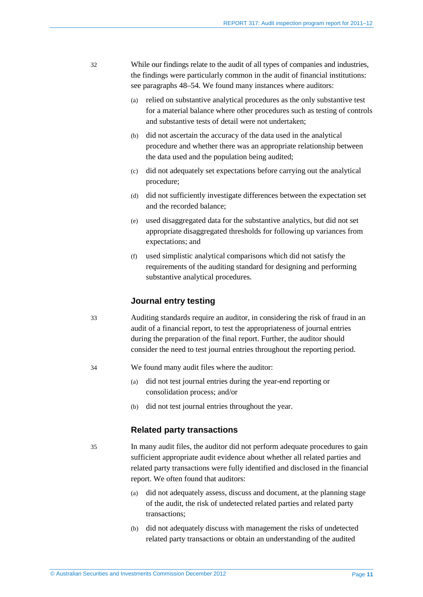- 32 While our findings relate to the audit of all types of companies and industries, the findings were particularly common in the audit of financial institutions: see paragraphs [48](#page-13-1)[–54.](#page-14-0) We found many instances where auditors:
	- (a) relied on substantive analytical procedures as the only substantive test for a material balance where other procedures such as testing of controls and substantive tests of detail were not undertaken;
	- (b) did not ascertain the accuracy of the data used in the analytical procedure and whether there was an appropriate relationship between the data used and the population being audited;
	- (c) did not adequately set expectations before carrying out the analytical procedure;
	- (d) did not sufficiently investigate differences between the expectation set and the recorded balance;
	- (e) used disaggregated data for the substantive analytics, but did not set appropriate disaggregated thresholds for following up variances from expectations; and
	- (f) used simplistic analytical comparisons which did not satisfy the requirements of the auditing standard for designing and performing substantive analytical procedures.

#### **Journal entry testing**

- <span id="page-10-0"></span>33 Auditing standards require an auditor, in considering the risk of fraud in an audit of a financial report, to test the appropriateness of journal entries during the preparation of the final report. Further, the auditor should consider the need to test journal entries throughout the reporting period.
- <span id="page-10-1"></span>34 We found many audit files where the auditor:
	- (a) did not test journal entries during the year-end reporting or consolidation process; and/or
	- (b) did not test journal entries throughout the year.

#### **Related party transactions**

<span id="page-10-2"></span>35 In many audit files, the auditor did not perform adequate procedures to gain sufficient appropriate audit evidence about whether all related parties and related party transactions were fully identified and disclosed in the financial report. We often found that auditors:

- (a) did not adequately assess, discuss and document, at the planning stage of the audit, the risk of undetected related parties and related party transactions;
- (b) did not adequately discuss with management the risks of undetected related party transactions or obtain an understanding of the audited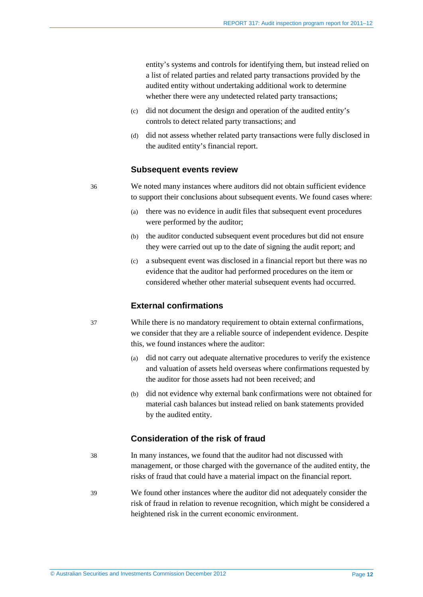entity's systems and controls for identifying them, but instead relied on a list of related parties and related party transactions provided by the audited entity without undertaking additional work to determine whether there were any undetected related party transactions;

- (c) did not document the design and operation of the audited entity's controls to detect related party transactions; and
- (d) did not assess whether related party transactions were fully disclosed in the audited entity's financial report.

#### **Subsequent events review**

36 We noted many instances where auditors did not obtain sufficient evidence to support their conclusions about subsequent events. We found cases where:

- (a) there was no evidence in audit files that subsequent event procedures were performed by the auditor;
- (b) the auditor conducted subsequent event procedures but did not ensure they were carried out up to the date of signing the audit report; and
- (c) a subsequent event was disclosed in a financial report but there was no evidence that the auditor had performed procedures on the item or considered whether other material subsequent events had occurred.

#### **External confirmations**

37 While there is no mandatory requirement to obtain external confirmations, we consider that they are a reliable source of independent evidence. Despite this, we found instances where the auditor:

- (a) did not carry out adequate alternative procedures to verify the existence and valuation of assets held overseas where confirmations requested by the auditor for those assets had not been received; and
- (b) did not evidence why external bank confirmations were not obtained for material cash balances but instead relied on bank statements provided by the audited entity.

#### **Consideration of the risk of fraud**

- 38 In many instances, we found that the auditor had not discussed with management, or those charged with the governance of the audited entity, the risks of fraud that could have a material impact on the financial report.
- 39 We found other instances where the auditor did not adequately consider the risk of fraud in relation to revenue recognition, which might be considered a heightened risk in the current economic environment.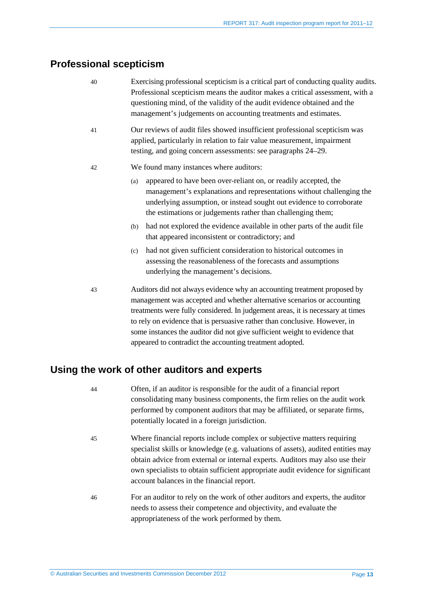## <span id="page-12-0"></span>**Professional scepticism**

- 40 Exercising professional scepticism is a critical part of conducting quality audits. Professional scepticism means the auditor makes a critical assessment, with a questioning mind, of the validity of the audit evidence obtained and the management's judgements on accounting treatments and estimates.
- 41 Our reviews of audit files showed insufficient professional scepticism was applied, particularly in relation to fair value measurement, impairment testing, and going concern assessments: see paragraphs [24](#page-8-1)[–29.](#page-9-0)
- 42 We found many instances where auditors:
	- (a) appeared to have been over-reliant on, or readily accepted, the management's explanations and representations without challenging the underlying assumption, or instead sought out evidence to corroborate the estimations or judgements rather than challenging them;
	- (b) had not explored the evidence available in other parts of the audit file that appeared inconsistent or contradictory; and
	- (c) had not given sufficient consideration to historical outcomes in assessing the reasonableness of the forecasts and assumptions underlying the management's decisions.
- 43 Auditors did not always evidence why an accounting treatment proposed by management was accepted and whether alternative scenarios or accounting treatments were fully considered. In judgement areas, it is necessary at times to rely on evidence that is persuasive rather than conclusive. However, in some instances the auditor did not give sufficient weight to evidence that appeared to contradict the accounting treatment adopted.

## <span id="page-12-2"></span><span id="page-12-1"></span>**Using the work of other auditors and experts**

- 44 Often, if an auditor is responsible for the audit of a financial report consolidating many business components, the firm relies on the audit work performed by component auditors that may be affiliated, or separate firms, potentially located in a foreign jurisdiction.
- 45 Where financial reports include complex or subjective matters requiring specialist skills or knowledge (e.g. valuations of assets), audited entities may obtain advice from external or internal experts. Auditors may also use their own specialists to obtain sufficient appropriate audit evidence for significant account balances in the financial report.
- 46 For an auditor to rely on the work of other auditors and experts, the auditor needs to assess their competence and objectivity, and evaluate the appropriateness of the work performed by them.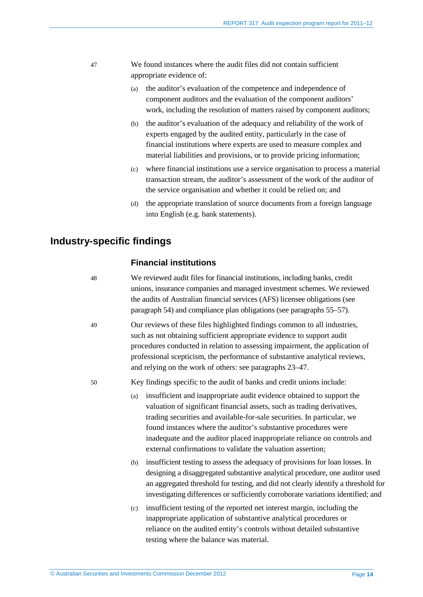- <span id="page-13-2"></span>47 We found instances where the audit files did not contain sufficient appropriate evidence of:
	- (a) the auditor's evaluation of the competence and independence of component auditors and the evaluation of the component auditors' work, including the resolution of matters raised by component auditors;
	- (b) the auditor's evaluation of the adequacy and reliability of the work of experts engaged by the audited entity, particularly in the case of financial institutions where experts are used to measure complex and material liabilities and provisions, or to provide pricing information;
	- (c) where financial institutions use a service organisation to process a material transaction stream, the auditor's assessment of the work of the auditor of the service organisation and whether it could be relied on; and
	- (d) the appropriate translation of source documents from a foreign language into English (e.g. bank statements).

## <span id="page-13-1"></span><span id="page-13-0"></span>**Industry-specific findings**

### **Financial institutions**

- 48 We reviewed audit files for financial institutions, including banks, credit unions, insurance companies and managed investment schemes. We reviewed the audits of Australian financial services (AFS) licensee obligations (see paragraph [54\)](#page-14-0) and compliance plan obligations (see paragraphs [55](#page-14-1)[–57\)](#page-15-0).
- 49 Our reviews of these files highlighted findings common to all industries, such as not obtaining sufficient appropriate evidence to support audit procedures conducted in relation to assessing impairment, the application of professional scepticism, the performance of substantive analytical reviews, and relying on the work of others: see paragraphs [23–](#page-8-2)[47.](#page-13-2)
- <span id="page-13-3"></span>50 Key findings specific to the audit of banks and credit unions include:
	- (a) insufficient and inappropriate audit evidence obtained to support the valuation of significant financial assets, such as trading derivatives, trading securities and available-for-sale securities. In particular, we found instances where the auditor's substantive procedures were inadequate and the auditor placed inappropriate reliance on controls and external confirmations to validate the valuation assertion;
	- (b) insufficient testing to assess the adequacy of provisions for loan losses. In designing a disaggregated substantive analytical procedure, one auditor used an aggregated threshold for testing, and did not clearly identify a threshold for investigating differences or sufficiently corroborate variations identified; and
	- (c) insufficient testing of the reported net interest margin, including the inappropriate application of substantive analytical procedures or reliance on the audited entity's controls without detailed substantive testing where the balance was material.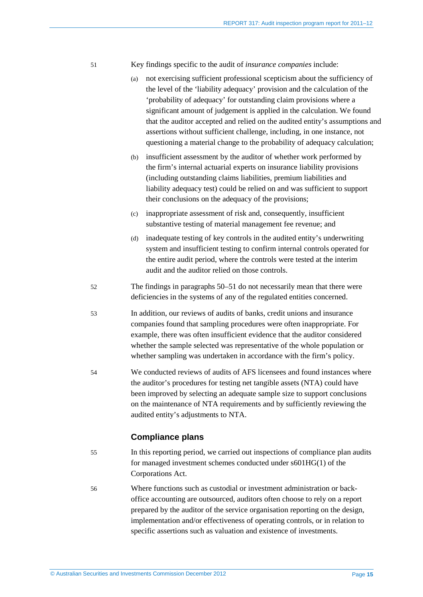- <span id="page-14-2"></span>51 Key findings specific to the audit of *insurance companies* include:
	- (a) not exercising sufficient professional scepticism about the sufficiency of the level of the 'liability adequacy' provision and the calculation of the 'probability of adequacy' for outstanding claim provisions where a significant amount of judgement is applied in the calculation. We found that the auditor accepted and relied on the audited entity's assumptions and assertions without sufficient challenge, including, in one instance, not questioning a material change to the probability of adequacy calculation;
	- (b) insufficient assessment by the auditor of whether work performed by the firm's internal actuarial experts on insurance liability provisions (including outstanding claims liabilities, premium liabilities and liability adequacy test) could be relied on and was sufficient to support their conclusions on the adequacy of the provisions;
	- (c) inappropriate assessment of risk and, consequently, insufficient substantive testing of material management fee revenue; and
	- (d) inadequate testing of key controls in the audited entity's underwriting system and insufficient testing to confirm internal controls operated for the entire audit period, where the controls were tested at the interim audit and the auditor relied on those controls.
- 52 The findings in paragraphs [50–](#page-13-3)[51](#page-14-2) do not necessarily mean that there were deficiencies in the systems of any of the regulated entities concerned.
- 53 In addition, our reviews of audits of banks, credit unions and insurance companies found that sampling procedures were often inappropriate. For example, there was often insufficient evidence that the auditor considered whether the sample selected was representative of the whole population or whether sampling was undertaken in accordance with the firm's policy.
- <span id="page-14-0"></span>54 We conducted reviews of audits of AFS licensees and found instances where the auditor's procedures for testing net tangible assets (NTA) could have been improved by selecting an adequate sample size to support conclusions on the maintenance of NTA requirements and by sufficiently reviewing the audited entity's adjustments to NTA.

#### **Compliance plans**

- <span id="page-14-1"></span>55 In this reporting period, we carried out inspections of compliance plan audits for managed investment schemes conducted under s601HG(1) of the Corporations Act.
- 56 Where functions such as custodial or investment administration or backoffice accounting are outsourced, auditors often choose to rely on a report prepared by the auditor of the service organisation reporting on the design, implementation and/or effectiveness of operating controls, or in relation to specific assertions such as valuation and existence of investments.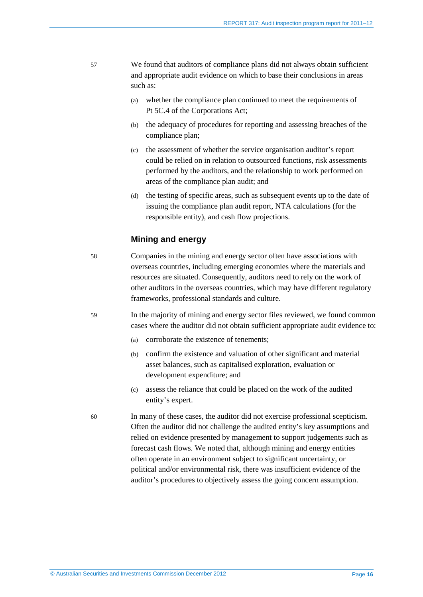- <span id="page-15-0"></span>57 We found that auditors of compliance plans did not always obtain sufficient and appropriate audit evidence on which to base their conclusions in areas such as:
	- (a) whether the compliance plan continued to meet the requirements of Pt 5C.4 of the Corporations Act;
	- (b) the adequacy of procedures for reporting and assessing breaches of the compliance plan;
	- (c) the assessment of whether the service organisation auditor's report could be relied on in relation to outsourced functions, risk assessments performed by the auditors, and the relationship to work performed on areas of the compliance plan audit; and
	- (d) the testing of specific areas, such as subsequent events up to the date of issuing the compliance plan audit report, NTA calculations (for the responsible entity), and cash flow projections.

#### **Mining and energy**

58 Companies in the mining and energy sector often have associations with overseas countries, including emerging economies where the materials and resources are situated. Consequently, auditors need to rely on the work of other auditors in the overseas countries, which may have different regulatory frameworks, professional standards and culture.

- 59 In the majority of mining and energy sector files reviewed, we found common cases where the auditor did not obtain sufficient appropriate audit evidence to:
	- (a) corroborate the existence of tenements;
	- (b) confirm the existence and valuation of other significant and material asset balances, such as capitalised exploration, evaluation or development expenditure; and
	- (c) assess the reliance that could be placed on the work of the audited entity's expert.
- 60 In many of these cases, the auditor did not exercise professional scepticism. Often the auditor did not challenge the audited entity's key assumptions and relied on evidence presented by management to support judgements such as forecast cash flows. We noted that, although mining and energy entities often operate in an environment subject to significant uncertainty, or political and/or environmental risk, there was insufficient evidence of the auditor's procedures to objectively assess the going concern assumption.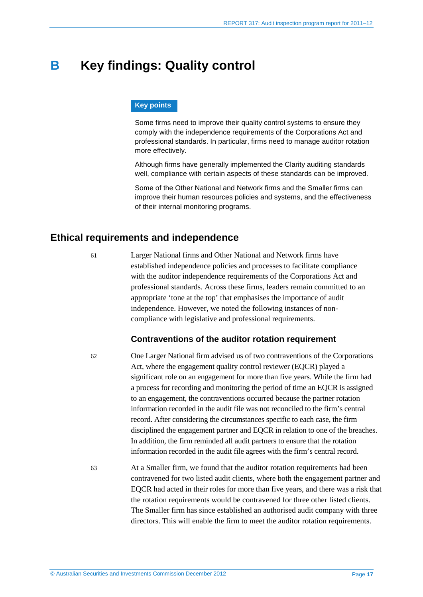## <span id="page-16-0"></span>**B Key findings: Quality control**

#### **Key points**

Some firms need to improve their quality control systems to ensure they comply with the independence requirements of the Corporations Act and professional standards. In particular, firms need to manage auditor rotation more effectively.

Although firms have generally implemented the Clarity auditing standards well, compliance with certain aspects of these standards can be improved.

Some of the Other National and Network firms and the Smaller firms can improve their human resources policies and systems, and the effectiveness of their internal monitoring programs.

## <span id="page-16-1"></span>**Ethical requirements and independence**

61 Larger National firms and Other National and Network firms have established independence policies and processes to facilitate compliance with the auditor independence requirements of the Corporations Act and professional standards. Across these firms, leaders remain committed to an appropriate 'tone at the top' that emphasises the importance of audit independence. However, we noted the following instances of noncompliance with legislative and professional requirements.

#### **Contraventions of the auditor rotation requirement**

62 One Larger National firm advised us of two contraventions of the Corporations Act, where the engagement quality control reviewer (EQCR) played a significant role on an engagement for more than five years. While the firm had a process for recording and monitoring the period of time an EQCR is assigned to an engagement, the contraventions occurred because the partner rotation information recorded in the audit file was not reconciled to the firm's central record. After considering the circumstances specific to each case, the firm disciplined the engagement partner and EQCR in relation to one of the breaches. In addition, the firm reminded all audit partners to ensure that the rotation information recorded in the audit file agrees with the firm's central record.

63 At a Smaller firm, we found that the auditor rotation requirements had been contravened for two listed audit clients, where both the engagement partner and EQCR had acted in their roles for more than five years, and there was a risk that the rotation requirements would be contravened for three other listed clients. The Smaller firm has since established an authorised audit company with three directors. This will enable the firm to meet the auditor rotation requirements.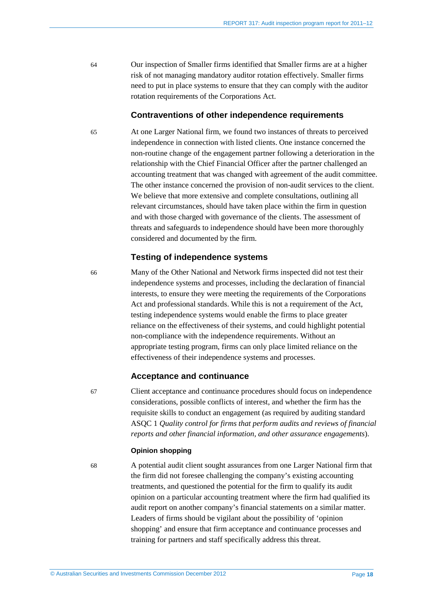64 Our inspection of Smaller firms identified that Smaller firms are at a higher risk of not managing mandatory auditor rotation effectively. Smaller firms need to put in place systems to ensure that they can comply with the auditor rotation requirements of the Corporations Act.

#### **Contraventions of other independence requirements**

65 At one Larger National firm, we found two instances of threats to perceived independence in connection with listed clients. One instance concerned the non-routine change of the engagement partner following a deterioration in the relationship with the Chief Financial Officer after the partner challenged an accounting treatment that was changed with agreement of the audit committee. The other instance concerned the provision of non-audit services to the client. We believe that more extensive and complete consultations, outlining all relevant circumstances, should have taken place within the firm in question and with those charged with governance of the clients. The assessment of threats and safeguards to independence should have been more thoroughly considered and documented by the firm.

#### **Testing of independence systems**

66 Many of the Other National and Network firms inspected did not test their independence systems and processes, including the declaration of financial interests, to ensure they were meeting the requirements of the Corporations Act and professional standards. While this is not a requirement of the Act, testing independence systems would enable the firms to place greater reliance on the effectiveness of their systems, and could highlight potential non-compliance with the independence requirements. Without an appropriate testing program, firms can only place limited reliance on the effectiveness of their independence systems and processes.

#### **Acceptance and continuance**

67 Client acceptance and continuance procedures should focus on independence considerations, possible conflicts of interest, and whether the firm has the requisite skills to conduct an engagement (as required by auditing standard ASQC 1 *Quality control for firms that perform audits and reviews of financial reports and other financial information, and other assurance engagements*).

#### **Opinion shopping**

68 A potential audit client sought assurances from one Larger National firm that the firm did not foresee challenging the company's existing accounting treatments, and questioned the potential for the firm to qualify its audit opinion on a particular accounting treatment where the firm had qualified its audit report on another company's financial statements on a similar matter. Leaders of firms should be vigilant about the possibility of 'opinion shopping' and ensure that firm acceptance and continuance processes and training for partners and staff specifically address this threat.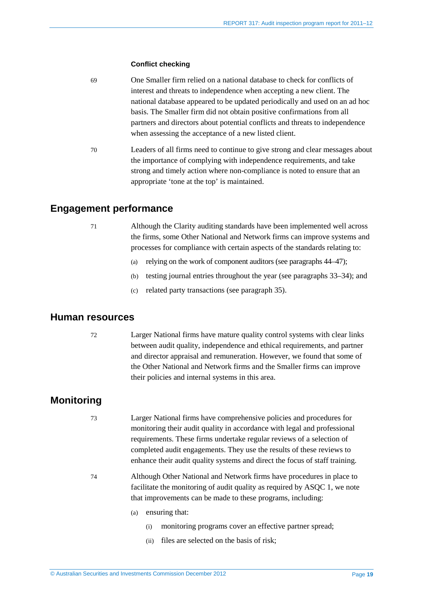#### **Conflict checking**

- 69 One Smaller firm relied on a national database to check for conflicts of interest and threats to independence when accepting a new client. The national database appeared to be updated periodically and used on an ad hoc basis. The Smaller firm did not obtain positive confirmations from all partners and directors about potential conflicts and threats to independence when assessing the acceptance of a new listed client.
- 70 Leaders of all firms need to continue to give strong and clear messages about the importance of complying with independence requirements, and take strong and timely action where non-compliance is noted to ensure that an appropriate 'tone at the top' is maintained.

### <span id="page-18-0"></span>**Engagement performance**

- 
- 71 Although the Clarity auditing standards have been implemented well across the firms, some Other National and Network firms can improve systems and processes for compliance with certain aspects of the standards relating to:
	- (a) relying on the work of component auditors (see paragraphs [44–](#page-12-2)[47\)](#page-13-2);
	- (b) testing journal entries throughout the year (see paragraphs [33](#page-10-0)[–34\)](#page-10-1); and
	- (c) related party transactions (see paragraph [35\)](#page-10-2).

### <span id="page-18-1"></span>**Human resources**

72 Larger National firms have mature quality control systems with clear links between audit quality, independence and ethical requirements, and partner and director appraisal and remuneration. However, we found that some of the Other National and Network firms and the Smaller firms can improve their policies and internal systems in this area.

## <span id="page-18-2"></span>**Monitoring**

- 73 Larger National firms have comprehensive policies and procedures for monitoring their audit quality in accordance with legal and professional requirements. These firms undertake regular reviews of a selection of completed audit engagements. They use the results of these reviews to enhance their audit quality systems and direct the focus of staff training.
- 74 Although Other National and Network firms have procedures in place to facilitate the monitoring of audit quality as required by ASQC 1, we note that improvements can be made to these programs, including:
	- (a) ensuring that:
		- (i) monitoring programs cover an effective partner spread;
		- (ii) files are selected on the basis of risk;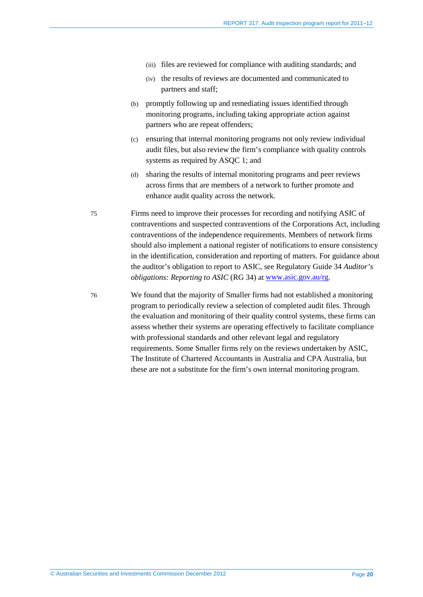- (iii) files are reviewed for compliance with auditing standards; and
- (iv) the results of reviews are documented and communicated to partners and staff;
- (b) promptly following up and remediating issues identified through monitoring programs, including taking appropriate action against partners who are repeat offenders;
- (c) ensuring that internal monitoring programs not only review individual audit files, but also review the firm's compliance with quality controls systems as required by ASQC 1; and
- (d) sharing the results of internal monitoring programs and peer reviews across firms that are members of a network to further promote and enhance audit quality across the network.

75 Firms need to improve their processes for recording and notifying ASIC of contraventions and suspected contraventions of the Corporations Act, including contraventions of the independence requirements. Members of network firms should also implement a national register of notifications to ensure consistency in the identification, consideration and reporting of matters. For guidance about the auditor's obligation to report to ASIC, see Regulatory Guide 34 *Auditor's obligations: Reporting to ASIC* (RG 34) at [www.asic.gov.au/rg.](http://www.asic.gov.au/rg)

76 We found that the majority of Smaller firms had not established a monitoring program to periodically review a selection of completed audit files. Through the evaluation and monitoring of their quality control systems, these firms can assess whether their systems are operating effectively to facilitate compliance with professional standards and other relevant legal and regulatory requirements. Some Smaller firms rely on the reviews undertaken by ASIC, The Institute of Chartered Accountants in Australia and CPA Australia, but these are not a substitute for the firm's own internal monitoring program.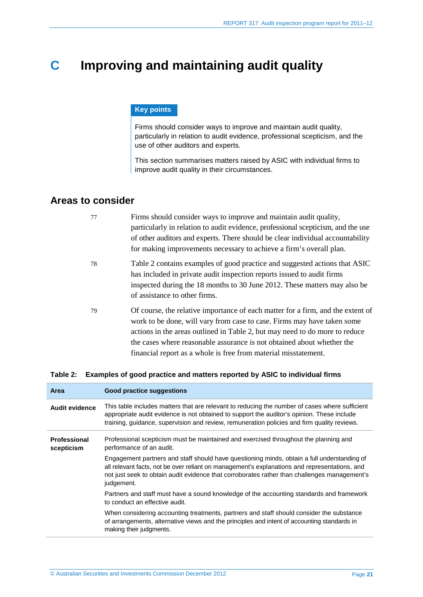## <span id="page-20-0"></span>**C Improving and maintaining audit quality**

#### **Key points**

Firms should consider ways to improve and maintain audit quality, particularly in relation to audit evidence, professional scepticism, and the use of other auditors and experts.

This section summarises matters raised by ASIC with individual firms to improve audit quality in their circumstances.

## <span id="page-20-1"></span>**Areas to consider**

| 77 | Firms should consider ways to improve and maintain audit quality,<br>particularly in relation to audit evidence, professional scepticism, and the use<br>of other auditors and experts. There should be clear individual accountability<br>for making improvements necessary to achieve a firm's overall plan.                                                                         |
|----|----------------------------------------------------------------------------------------------------------------------------------------------------------------------------------------------------------------------------------------------------------------------------------------------------------------------------------------------------------------------------------------|
| 78 | Table 2 contains examples of good practice and suggested actions that ASIC<br>has included in private audit inspection reports issued to audit firms<br>inspected during the 18 months to 30 June 2012. These matters may also be<br>of assistance to other firms.                                                                                                                     |
| 79 | Of course, the relative importance of each matter for a firm, and the extent of<br>work to be done, will vary from case to case. Firms may have taken some<br>actions in the areas outlined in Table 2, but may need to do more to reduce<br>the cases where reasonable assurance is not obtained about whether the<br>financial report as a whole is free from material misstatement. |

#### <span id="page-20-2"></span>**Table 2: Examples of good practice and matters reported by ASIC to individual firms**

| Good practice suggestions                                                                                                                                                                                                                                                                                  |
|------------------------------------------------------------------------------------------------------------------------------------------------------------------------------------------------------------------------------------------------------------------------------------------------------------|
| This table includes matters that are relevant to reducing the number of cases where sufficient<br>appropriate audit evidence is not obtained to support the auditor's opinion. These include<br>training, guidance, supervision and review, remuneration policies and firm quality reviews.                |
| Professional scepticism must be maintained and exercised throughout the planning and<br>performance of an audit.                                                                                                                                                                                           |
| Engagement partners and staff should have questioning minds, obtain a full understanding of<br>all relevant facts, not be over reliant on management's explanations and representations, and<br>not just seek to obtain audit evidence that corroborates rather than challenges management's<br>judgement. |
| Partners and staff must have a sound knowledge of the accounting standards and framework<br>to conduct an effective audit.                                                                                                                                                                                 |
| When considering accounting treatments, partners and staff should consider the substance<br>of arrangements, alternative views and the principles and intent of accounting standards in<br>making their judgments.                                                                                         |
|                                                                                                                                                                                                                                                                                                            |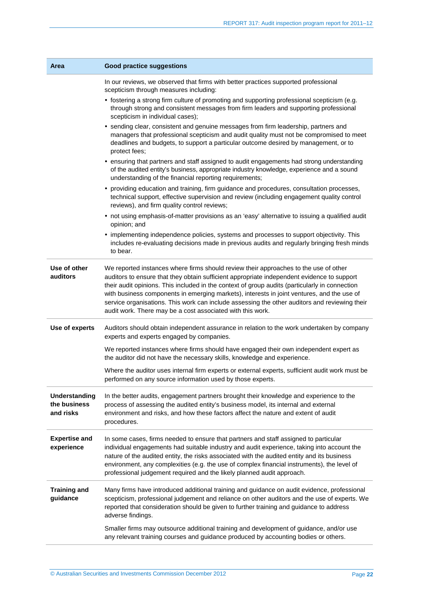| Area                                              | <b>Good practice suggestions</b>                                                                                                                                                                                                                                                                                                                                                                                                                                                                                                                  |  |  |
|---------------------------------------------------|---------------------------------------------------------------------------------------------------------------------------------------------------------------------------------------------------------------------------------------------------------------------------------------------------------------------------------------------------------------------------------------------------------------------------------------------------------------------------------------------------------------------------------------------------|--|--|
|                                                   | In our reviews, we observed that firms with better practices supported professional<br>scepticism through measures including:                                                                                                                                                                                                                                                                                                                                                                                                                     |  |  |
|                                                   | • fostering a strong firm culture of promoting and supporting professional scepticism (e.g.<br>through strong and consistent messages from firm leaders and supporting professional<br>scepticism in individual cases);                                                                                                                                                                                                                                                                                                                           |  |  |
|                                                   | • sending clear, consistent and genuine messages from firm leadership, partners and<br>managers that professional scepticism and audit quality must not be compromised to meet<br>deadlines and budgets, to support a particular outcome desired by management, or to<br>protect fees;                                                                                                                                                                                                                                                            |  |  |
|                                                   | • ensuring that partners and staff assigned to audit engagements had strong understanding<br>of the audited entity's business, appropriate industry knowledge, experience and a sound<br>understanding of the financial reporting requirements;                                                                                                                                                                                                                                                                                                   |  |  |
|                                                   | • providing education and training, firm guidance and procedures, consultation processes,<br>technical support, effective supervision and review (including engagement quality control<br>reviews), and firm quality control reviews;                                                                                                                                                                                                                                                                                                             |  |  |
|                                                   | • not using emphasis-of-matter provisions as an 'easy' alternative to issuing a qualified audit<br>opinion; and                                                                                                                                                                                                                                                                                                                                                                                                                                   |  |  |
|                                                   | • implementing independence policies, systems and processes to support objectivity. This<br>includes re-evaluating decisions made in previous audits and regularly bringing fresh minds<br>to bear.                                                                                                                                                                                                                                                                                                                                               |  |  |
| Use of other<br>auditors                          | We reported instances where firms should review their approaches to the use of other<br>auditors to ensure that they obtain sufficient appropriate independent evidence to support<br>their audit opinions. This included in the context of group audits (particularly in connection<br>with business components in emerging markets), interests in joint ventures, and the use of<br>service organisations. This work can include assessing the other auditors and reviewing their<br>audit work. There may be a cost associated with this work. |  |  |
| Use of experts                                    | Auditors should obtain independent assurance in relation to the work undertaken by company<br>experts and experts engaged by companies.                                                                                                                                                                                                                                                                                                                                                                                                           |  |  |
|                                                   | We reported instances where firms should have engaged their own independent expert as<br>the auditor did not have the necessary skills, knowledge and experience.                                                                                                                                                                                                                                                                                                                                                                                 |  |  |
|                                                   | Where the auditor uses internal firm experts or external experts, sufficient audit work must be<br>performed on any source information used by those experts.                                                                                                                                                                                                                                                                                                                                                                                     |  |  |
| <b>Understanding</b><br>the business<br>and risks | In the better audits, engagement partners brought their knowledge and experience to the<br>process of assessing the audited entity's business model, its internal and external<br>environment and risks, and how these factors affect the nature and extent of audit<br>procedures.                                                                                                                                                                                                                                                               |  |  |
| <b>Expertise and</b><br>experience                | In some cases, firms needed to ensure that partners and staff assigned to particular<br>individual engagements had suitable industry and audit experience, taking into account the<br>nature of the audited entity, the risks associated with the audited entity and its business<br>environment, any complexities (e.g. the use of complex financial instruments), the level of<br>professional judgement required and the likely planned audit approach.                                                                                        |  |  |
| <b>Training and</b><br>guidance                   | Many firms have introduced additional training and guidance on audit evidence, professional<br>scepticism, professional judgement and reliance on other auditors and the use of experts. We<br>reported that consideration should be given to further training and guidance to address<br>adverse findings.                                                                                                                                                                                                                                       |  |  |
|                                                   | Smaller firms may outsource additional training and development of guidance, and/or use<br>any relevant training courses and guidance produced by accounting bodies or others.                                                                                                                                                                                                                                                                                                                                                                    |  |  |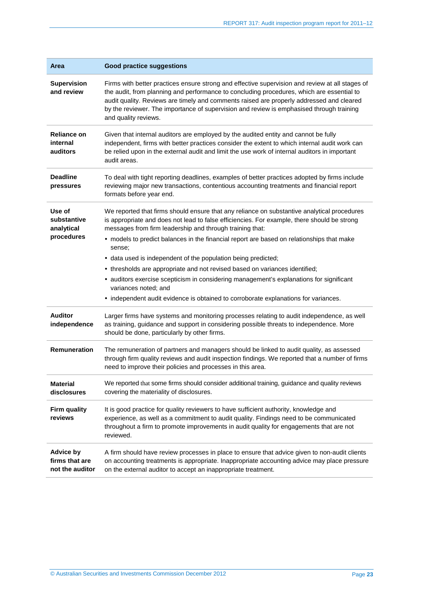| Area                                                                                                                                                                                                                                                                                                                                                | <b>Good practice suggestions</b>                                                                                                                                                                                                                                                                                                                                                                             |  |  |
|-----------------------------------------------------------------------------------------------------------------------------------------------------------------------------------------------------------------------------------------------------------------------------------------------------------------------------------------------------|--------------------------------------------------------------------------------------------------------------------------------------------------------------------------------------------------------------------------------------------------------------------------------------------------------------------------------------------------------------------------------------------------------------|--|--|
| <b>Supervision</b><br>and review                                                                                                                                                                                                                                                                                                                    | Firms with better practices ensure strong and effective supervision and review at all stages of<br>the audit, from planning and performance to concluding procedures, which are essential to<br>audit quality. Reviews are timely and comments raised are properly addressed and cleared<br>by the reviewer. The importance of supervision and review is emphasised through training<br>and quality reviews. |  |  |
| <b>Reliance on</b><br>Given that internal auditors are employed by the audited entity and cannot be fully<br>internal<br>independent, firms with better practices consider the extent to which internal audit work can<br>auditors<br>be relied upon in the external audit and limit the use work of internal auditors in important<br>audit areas. |                                                                                                                                                                                                                                                                                                                                                                                                              |  |  |
| <b>Deadline</b><br>To deal with tight reporting deadlines, examples of better practices adopted by firms include<br>reviewing major new transactions, contentious accounting treatments and financial report<br>pressures<br>formats before year end.                                                                                               |                                                                                                                                                                                                                                                                                                                                                                                                              |  |  |
| Use of<br>substantive<br>analytical                                                                                                                                                                                                                                                                                                                 | We reported that firms should ensure that any reliance on substantive analytical procedures<br>is appropriate and does not lead to false efficiencies. For example, there should be strong<br>messages from firm leadership and through training that:                                                                                                                                                       |  |  |
| procedures                                                                                                                                                                                                                                                                                                                                          | • models to predict balances in the financial report are based on relationships that make<br>sense;                                                                                                                                                                                                                                                                                                          |  |  |
|                                                                                                                                                                                                                                                                                                                                                     | • data used is independent of the population being predicted;                                                                                                                                                                                                                                                                                                                                                |  |  |
|                                                                                                                                                                                                                                                                                                                                                     | • thresholds are appropriate and not revised based on variances identified;                                                                                                                                                                                                                                                                                                                                  |  |  |
|                                                                                                                                                                                                                                                                                                                                                     | • auditors exercise scepticism in considering management's explanations for significant<br>variances noted; and                                                                                                                                                                                                                                                                                              |  |  |
|                                                                                                                                                                                                                                                                                                                                                     | • independent audit evidence is obtained to corroborate explanations for variances.                                                                                                                                                                                                                                                                                                                          |  |  |
| <b>Auditor</b><br>independence                                                                                                                                                                                                                                                                                                                      | Larger firms have systems and monitoring processes relating to audit independence, as well<br>as training, guidance and support in considering possible threats to independence. More<br>should be done, particularly by other firms.                                                                                                                                                                        |  |  |
| <b>Remuneration</b>                                                                                                                                                                                                                                                                                                                                 | The remuneration of partners and managers should be linked to audit quality, as assessed<br>through firm quality reviews and audit inspection findings. We reported that a number of firms<br>need to improve their policies and processes in this area.                                                                                                                                                     |  |  |
| <b>Material</b><br>disclosures                                                                                                                                                                                                                                                                                                                      | We reported that some firms should consider additional training, guidance and quality reviews<br>covering the materiality of disclosures.                                                                                                                                                                                                                                                                    |  |  |
| <b>Firm quality</b><br>reviews                                                                                                                                                                                                                                                                                                                      | It is good practice for quality reviewers to have sufficient authority, knowledge and<br>experience, as well as a commitment to audit quality. Findings need to be communicated<br>throughout a firm to promote improvements in audit quality for engagements that are not<br>reviewed.                                                                                                                      |  |  |
| <b>Advice by</b><br>firms that are<br>not the auditor                                                                                                                                                                                                                                                                                               | A firm should have review processes in place to ensure that advice given to non-audit clients<br>on accounting treatments is appropriate. Inappropriate accounting advice may place pressure<br>on the external auditor to accept an inappropriate treatment.                                                                                                                                                |  |  |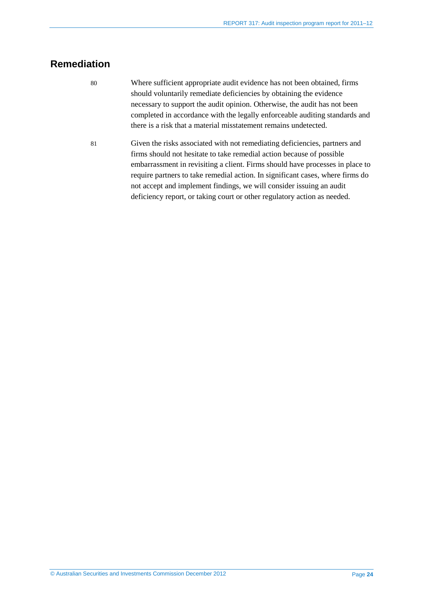## <span id="page-23-0"></span>**Remediation**

- 80 Where sufficient appropriate audit evidence has not been obtained, firms should voluntarily remediate deficiencies by obtaining the evidence necessary to support the audit opinion. Otherwise, the audit has not been completed in accordance with the legally enforceable auditing standards and there is a risk that a material misstatement remains undetected.
- 81 Given the risks associated with not remediating deficiencies, partners and firms should not hesitate to take remedial action because of possible embarrassment in revisiting a client. Firms should have processes in place to require partners to take remedial action. In significant cases, where firms do not accept and implement findings, we will consider issuing an audit deficiency report, or taking court or other regulatory action as needed.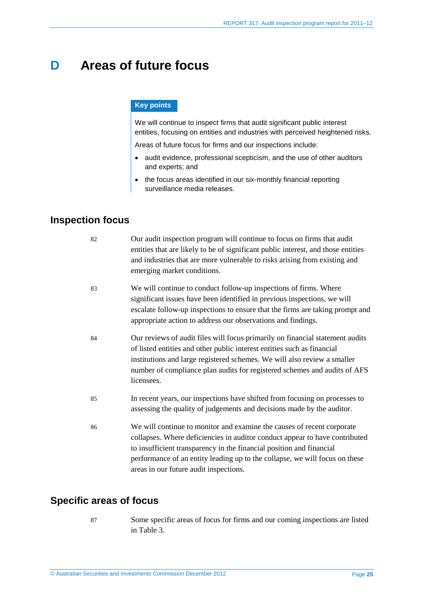## <span id="page-24-0"></span>**D Areas of future focus**

#### **Key points**

We will continue to inspect firms that audit significant public interest entities, focusing on entities and industries with perceived heightened risks.

Areas of future focus for firms and our inspections include:

- audit evidence, professional scepticism, and the use of other auditors and experts; and
- the focus areas identified in our six-monthly financial reporting surveillance media releases.

## <span id="page-24-1"></span>**Inspection focus**

| 82 | Our audit inspection program will continue to focus on firms that audit<br>entities that are likely to be of significant public interest, and those entities<br>and industries that are more vulnerable to risks arising from existing and<br>emerging market conditions.                                                                              |
|----|--------------------------------------------------------------------------------------------------------------------------------------------------------------------------------------------------------------------------------------------------------------------------------------------------------------------------------------------------------|
| 83 | We will continue to conduct follow-up inspections of firms. Where<br>significant issues have been identified in previous inspections, we will<br>escalate follow-up inspections to ensure that the firms are taking prompt and<br>appropriate action to address our observations and findings.                                                         |
| 84 | Our reviews of audit files will focus primarily on financial statement audits<br>of listed entities and other public interest entities such as financial<br>institutions and large registered schemes. We will also review a smaller<br>number of compliance plan audits for registered schemes and audits of AFS<br>licensees.                        |
| 85 | In recent years, our inspections have shifted from focusing on processes to<br>assessing the quality of judgements and decisions made by the auditor.                                                                                                                                                                                                  |
| 86 | We will continue to monitor and examine the causes of recent corporate<br>collapses. Where deficiencies in auditor conduct appear to have contributed<br>to insufficient transparency in the financial position and financial<br>performance of an entity leading up to the collapse, we will focus on these<br>areas in our future audit inspections. |

## <span id="page-24-2"></span>**Specific areas of focus**

- 
- 87 Some specific areas of focus for firms and our coming inspections are listed in [Table 3.](#page-25-0)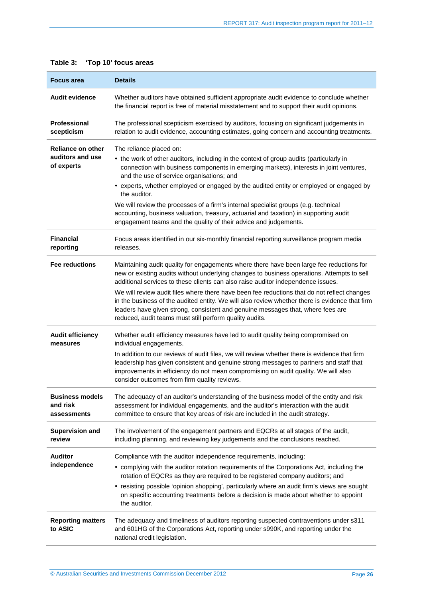| <b>Details</b><br><b>Focus area</b>                                                                                                                                                                                  |                                                                                                                                                                                                                                                                                                                                                                                                                                                                                                                                                                                                                         |  |
|----------------------------------------------------------------------------------------------------------------------------------------------------------------------------------------------------------------------|-------------------------------------------------------------------------------------------------------------------------------------------------------------------------------------------------------------------------------------------------------------------------------------------------------------------------------------------------------------------------------------------------------------------------------------------------------------------------------------------------------------------------------------------------------------------------------------------------------------------------|--|
| <b>Audit evidence</b><br>Whether auditors have obtained sufficient appropriate audit evidence to conclude whether<br>the financial report is free of material misstatement and to support their audit opinions.      |                                                                                                                                                                                                                                                                                                                                                                                                                                                                                                                                                                                                                         |  |
| Professional<br>The professional scepticism exercised by auditors, focusing on significant judgements in<br>scepticism<br>relation to audit evidence, accounting estimates, going concern and accounting treatments. |                                                                                                                                                                                                                                                                                                                                                                                                                                                                                                                                                                                                                         |  |
| Reliance on other<br>auditors and use<br>of experts                                                                                                                                                                  | The reliance placed on:<br>• the work of other auditors, including in the context of group audits (particularly in<br>connection with business components in emerging markets), interests in joint ventures,<br>and the use of service organisations; and<br>• experts, whether employed or engaged by the audited entity or employed or engaged by<br>the auditor.<br>We will review the processes of a firm's internal specialist groups (e.g. technical<br>accounting, business valuation, treasury, actuarial and taxation) in supporting audit<br>engagement teams and the quality of their advice and judgements. |  |
| <b>Financial</b><br>reporting                                                                                                                                                                                        | Focus areas identified in our six-monthly financial reporting surveillance program media<br>releases.                                                                                                                                                                                                                                                                                                                                                                                                                                                                                                                   |  |
| <b>Fee reductions</b>                                                                                                                                                                                                | Maintaining audit quality for engagements where there have been large fee reductions for<br>new or existing audits without underlying changes to business operations. Attempts to sell<br>additional services to these clients can also raise auditor independence issues.                                                                                                                                                                                                                                                                                                                                              |  |
|                                                                                                                                                                                                                      | We will review audit files where there have been fee reductions that do not reflect changes<br>in the business of the audited entity. We will also review whether there is evidence that firm<br>leaders have given strong, consistent and genuine messages that, where fees are<br>reduced, audit teams must still perform quality audits.                                                                                                                                                                                                                                                                             |  |
| <b>Audit efficiency</b><br>measures                                                                                                                                                                                  | Whether audit efficiency measures have led to audit quality being compromised on<br>individual engagements.                                                                                                                                                                                                                                                                                                                                                                                                                                                                                                             |  |
|                                                                                                                                                                                                                      | In addition to our reviews of audit files, we will review whether there is evidence that firm<br>leadership has given consistent and genuine strong messages to partners and staff that<br>improvements in efficiency do not mean compromising on audit quality. We will also<br>consider outcomes from firm quality reviews.                                                                                                                                                                                                                                                                                           |  |
| <b>Business models</b><br>and risk<br>assessments                                                                                                                                                                    | The adequacy of an auditor's understanding of the business model of the entity and risk<br>assessment for individual engagements, and the auditor's interaction with the audit<br>committee to ensure that key areas of risk are included in the audit strategy.                                                                                                                                                                                                                                                                                                                                                        |  |
| <b>Supervision and</b><br>review                                                                                                                                                                                     | The involvement of the engagement partners and EQCRs at all stages of the audit,<br>including planning, and reviewing key judgements and the conclusions reached.                                                                                                                                                                                                                                                                                                                                                                                                                                                       |  |
| <b>Auditor</b><br>independence                                                                                                                                                                                       | Compliance with the auditor independence requirements, including:<br>• complying with the auditor rotation requirements of the Corporations Act, including the<br>rotation of EQCRs as they are required to be registered company auditors; and<br>• resisting possible 'opinion shopping', particularly where an audit firm's views are sought<br>on specific accounting treatments before a decision is made about whether to appoint<br>the auditor.                                                                                                                                                                 |  |
| <b>Reporting matters</b><br>to ASIC                                                                                                                                                                                  | The adequacy and timeliness of auditors reporting suspected contraventions under s311<br>and 601HG of the Corporations Act, reporting under s990K, and reporting under the<br>national credit legislation.                                                                                                                                                                                                                                                                                                                                                                                                              |  |

### <span id="page-25-0"></span>**Table 3: 'Top 10' focus areas**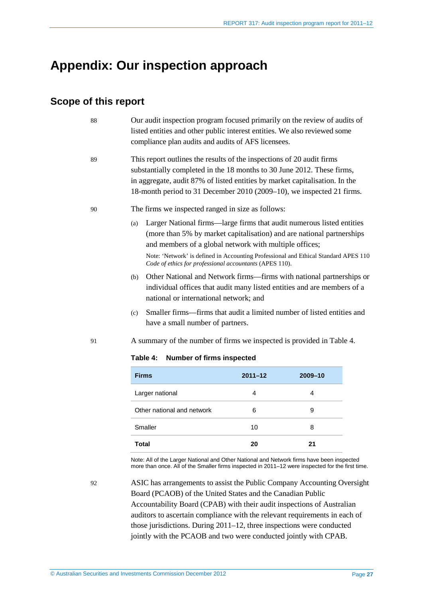## <span id="page-26-0"></span>**Appendix: Our inspection approach**

## <span id="page-26-1"></span>**Scope of this report**

- 88 Our audit inspection program focused primarily on the review of audits of listed entities and other public interest entities. We also reviewed some compliance plan audits and audits of AFS licensees.
- 89 This report outlines the results of the inspections of 20 audit firms substantially completed in the 18 months to 30 June 2012. These firms, in aggregate, audit 87% of listed entities by market capitalisation. In the 18-month period to 31 December 2010 (2009–10), we inspected 21 firms.

#### <span id="page-26-2"></span>90 The firms we inspected ranged in size as follows:

(a) Larger National firms—large firms that audit numerous listed entities (more than 5% by market capitalisation) and are national partnerships and members of a global network with multiple offices;

Note: 'Network' is defined in Accounting Professional and Ethical Standard APES 110 *Code of ethics for professional accountants* (APES 110).

- (b) Other National and Network firms—firms with national partnerships or individual offices that audit many listed entities and are members of a national or international network; and
- (c) Smaller firms—firms that audit a limited number of listed entities and have a small number of partners.
- <span id="page-26-3"></span>91 A summary of the number of firms we inspected is provided in [Table 4.](#page-26-3)

#### **Table 4: Number of firms inspected**

| <b>Firms</b>               | $2011 - 12$ | 2009-10 |
|----------------------------|-------------|---------|
| Larger national            | 4           | 4       |
| Other national and network | 6           | 9       |
| Smaller                    | 10          | 8       |
| <b>Total</b>               | 20          | 21      |

Note: All of the Larger National and Other National and Network firms have been inspected more than once. All of the Smaller firms inspected in 2011–12 were inspected for the first time.

92 ASIC has arrangements to assist the Public Company Accounting Oversight Board (PCAOB) of the United States and the Canadian Public Accountability Board (CPAB) with their audit inspections of Australian auditors to ascertain compliance with the relevant requirements in each of those jurisdictions. During 2011–12, three inspections were conducted jointly with the PCAOB and two were conducted jointly with CPAB.

© Australian Securities and Investments Commission December 2012 Page **27**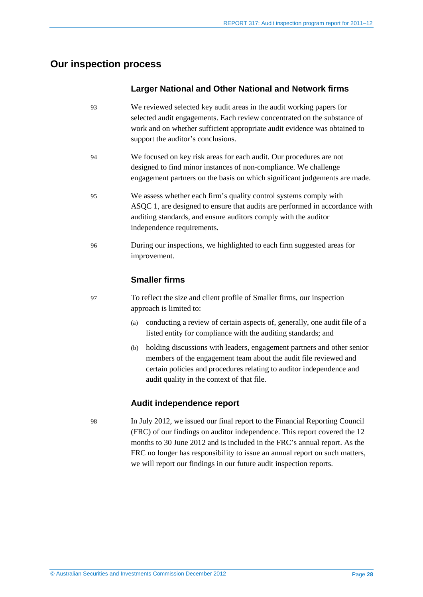## <span id="page-27-0"></span>**Our inspection process**

#### **Larger National and Other National and Network firms**

- 93 We reviewed selected key audit areas in the audit working papers for selected audit engagements. Each review concentrated on the substance of work and on whether sufficient appropriate audit evidence was obtained to support the auditor's conclusions.
- 94 We focused on key risk areas for each audit. Our procedures are not designed to find minor instances of non-compliance. We challenge engagement partners on the basis on which significant judgements are made.
- 95 We assess whether each firm's quality control systems comply with ASQC 1, are designed to ensure that audits are performed in accordance with auditing standards, and ensure auditors comply with the auditor independence requirements.
- 96 During our inspections, we highlighted to each firm suggested areas for improvement.

### **Smaller firms**

- 97 To reflect the size and client profile of Smaller firms, our inspection approach is limited to:
	- (a) conducting a review of certain aspects of, generally, one audit file of a listed entity for compliance with the auditing standards; and
	- (b) holding discussions with leaders, engagement partners and other senior members of the engagement team about the audit file reviewed and certain policies and procedures relating to auditor independence and audit quality in the context of that file.

### **Audit independence report**

98 In July 2012, we issued our final report to the Financial Reporting Council (FRC) of our findings on auditor independence. This report covered the 12 months to 30 June 2012 and is included in the FRC's annual report. As the FRC no longer has responsibility to issue an annual report on such matters, we will report our findings in our future audit inspection reports.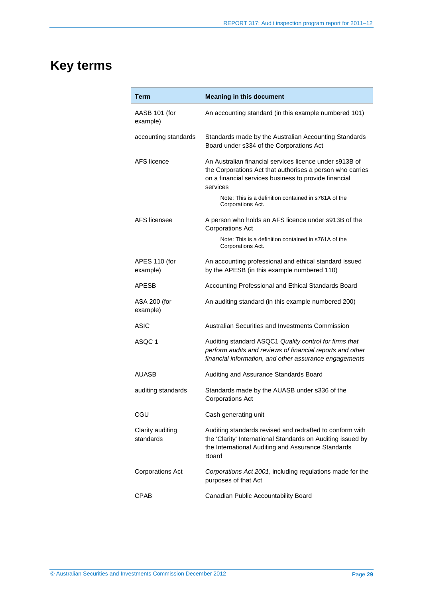# <span id="page-28-0"></span>**Key terms**

| Term                          | <b>Meaning in this document</b>                                                                                                                                                               |
|-------------------------------|-----------------------------------------------------------------------------------------------------------------------------------------------------------------------------------------------|
| AASB 101 (for<br>example)     | An accounting standard (in this example numbered 101)                                                                                                                                         |
| accounting standards          | Standards made by the Australian Accounting Standards<br>Board under s334 of the Corporations Act                                                                                             |
| AFS licence                   | An Australian financial services licence under s913B of<br>the Corporations Act that authorises a person who carries<br>on a financial services business to provide financial<br>services     |
|                               | Note: This is a definition contained in s761A of the<br>Corporations Act.                                                                                                                     |
| AFS licensee                  | A person who holds an AFS licence under s913B of the<br><b>Corporations Act</b>                                                                                                               |
|                               | Note: This is a definition contained in s761A of the<br>Corporations Act.                                                                                                                     |
| APES 110 (for<br>example)     | An accounting professional and ethical standard issued<br>by the APESB (in this example numbered 110)                                                                                         |
| APESB                         | Accounting Professional and Ethical Standards Board                                                                                                                                           |
| ASA 200 (for<br>example)      | An auditing standard (in this example numbered 200)                                                                                                                                           |
| ASIC                          | Australian Securities and Investments Commission                                                                                                                                              |
| ASQC 1                        | Auditing standard ASQC1 Quality control for firms that<br>perform audits and reviews of financial reports and other<br>financial information, and other assurance engagements                 |
| AUASB                         | Auditing and Assurance Standards Board                                                                                                                                                        |
| auditing standards            | Standards made by the AUASB under s336 of the<br><b>Corporations Act</b>                                                                                                                      |
| CGU                           | Cash generating unit                                                                                                                                                                          |
| Clarity auditing<br>standards | Auditing standards revised and redrafted to conform with<br>the 'Clarity' International Standards on Auditing issued by<br>the International Auditing and Assurance Standards<br><b>Board</b> |
| <b>Corporations Act</b>       | Corporations Act 2001, including regulations made for the<br>purposes of that Act                                                                                                             |
| <b>CPAB</b>                   | Canadian Public Accountability Board                                                                                                                                                          |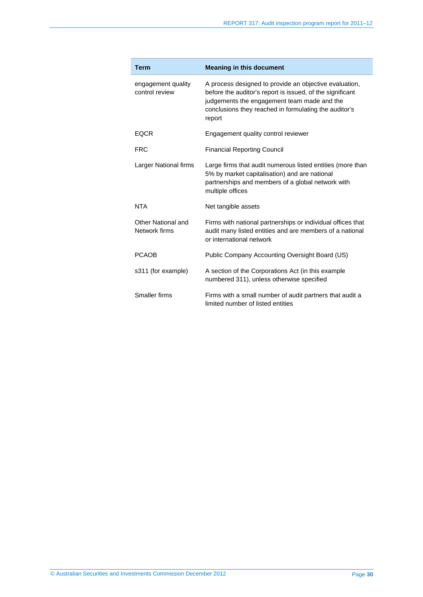| <b>Term</b>                          | <b>Meaning in this document</b>                                                                                                                                                                                                       |
|--------------------------------------|---------------------------------------------------------------------------------------------------------------------------------------------------------------------------------------------------------------------------------------|
| engagement quality<br>control review | A process designed to provide an objective evaluation,<br>before the auditor's report is issued, of the significant<br>judgements the engagement team made and the<br>conclusions they reached in formulating the auditor's<br>report |
| <b>EQCR</b>                          | Engagement quality control reviewer                                                                                                                                                                                                   |
| <b>FRC</b>                           | <b>Financial Reporting Council</b>                                                                                                                                                                                                    |
| Larger National firms                | Large firms that audit numerous listed entities (more than<br>5% by market capitalisation) and are national<br>partnerships and members of a global network with<br>multiple offices                                                  |
| <b>NTA</b>                           | Net tangible assets                                                                                                                                                                                                                   |
| Other National and<br>Network firms  | Firms with national partnerships or individual offices that<br>audit many listed entities and are members of a national<br>or international network                                                                                   |
| <b>PCAOB</b>                         | Public Company Accounting Oversight Board (US)                                                                                                                                                                                        |
| s311 (for example)                   | A section of the Corporations Act (in this example<br>numbered 311), unless otherwise specified                                                                                                                                       |
| Smaller firms                        | Firms with a small number of audit partners that audit a<br>limited number of listed entities                                                                                                                                         |